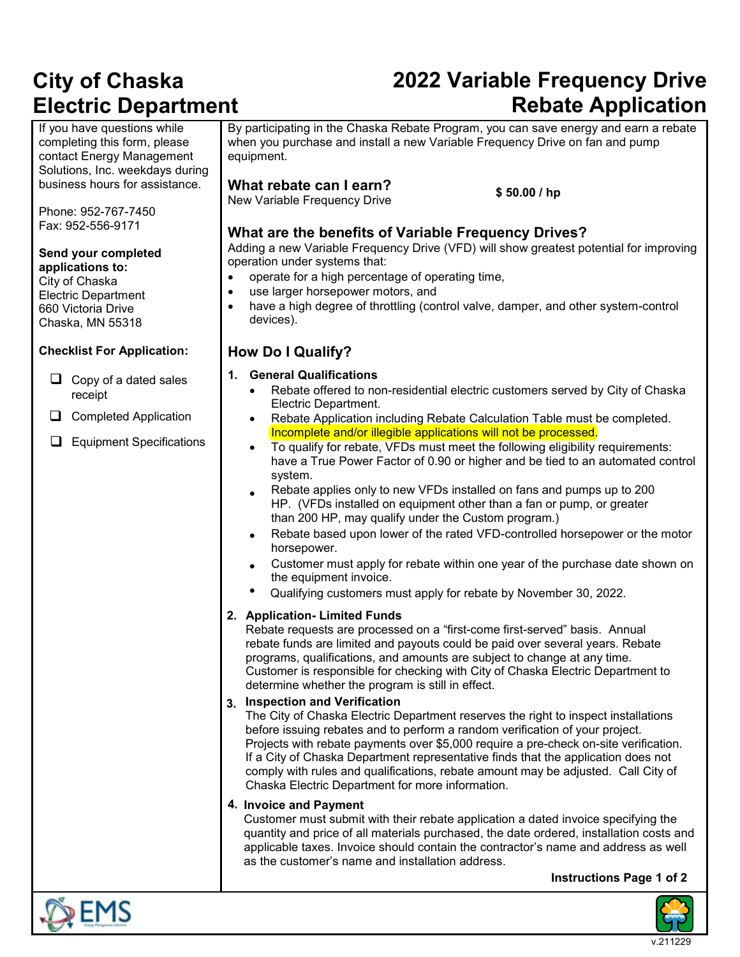## **2022 Variable Frequency Drive Rebate Application**

If you have questions while completing this form, please contact Energy Management Solutions, Inc. weekdays during business hours for assistance.

Phone: 952-767-7450 Fax: 952-556-9171

**Send your completed applications to:**

City of Chaska Electric Department 660 Victoria Drive Chaska, MN 55318

### **Checklist For Application:**

- $\Box$  Copy of a dated sales receipt
- Completed Application
- **E**quipment Specifications

By participating in the Chaska Rebate Program, you can save energy and earn a rebate when you purchase and install a new Variable Frequency Drive on fan and pump equipment.

### **What rebate can I earn?**

New Variable Frequency Drive **\$ 50.00 / hp**

### **What are the benefits of Variable Frequency Drives?**

Adding a new Variable Frequency Drive (VFD) will show greatest potential for improving operation under systems that:

- operate for a high percentage of operating time,
- use larger horsepower motors, and
- have a high degree of throttling (control valve, damper, and other system-control devices).

### **How Do I Qualify?**

**1. General Qualifications** Rebate offered to non-residential electric customers served by City of Chaska Electric Department. Rebate Application including Rebate Calculation Table must be completed. Incomplete and/or illegible applications will not be processed. • To qualify for rebate, VFDs must meet the following eligibility requirements: have a True Power Factor of 0.90 or higher and be tied to an automated control system. • Rebate applies only to new VFDs installed on fans and pumps up to 200 HP. (VFDs installed on equipment other than a fan or pump, or greater than 200 HP, may qualify under the Custom program.) • Rebate based upon lower of the rated VFD-controlled horsepower or the motor horsepower. • Customer must apply for rebate within one year of the purchase date shown on the equipment invoice. • Qualifying customers must apply for rebate by November 30, 2022. **2. Application- Limited Funds** Rebate requests are processed on a "first-come first-served" basis. Annual rebate funds are limited and payouts could be paid over several years. Rebate programs, qualifications, and amounts are subject to change at any time. Customer is responsible for checking with City of Chaska Electric Department to determine whether the program is still in effect. **3. Inspection and Verification** The City of Chaska Electric Department reserves the right to inspect installations before issuing rebates and to perform a random verification of your project. Projects with rebate payments over \$5,000 require a pre-check on-site verification. If a City of Chaska Department representative finds that the application does not comply with rules and qualifications, rebate amount may be adjusted. Call City of Chaska Electric Department for more information. **4. Invoice and Payment**

Customer must submit with their rebate application a dated invoice specifying the quantity and price of all materials purchased, the date ordered, installation costs and applicable taxes. Invoice should contain the contractor's name and address as well as the customer's name and installation address.

**Instructions Page 1 of 2** 





v.211229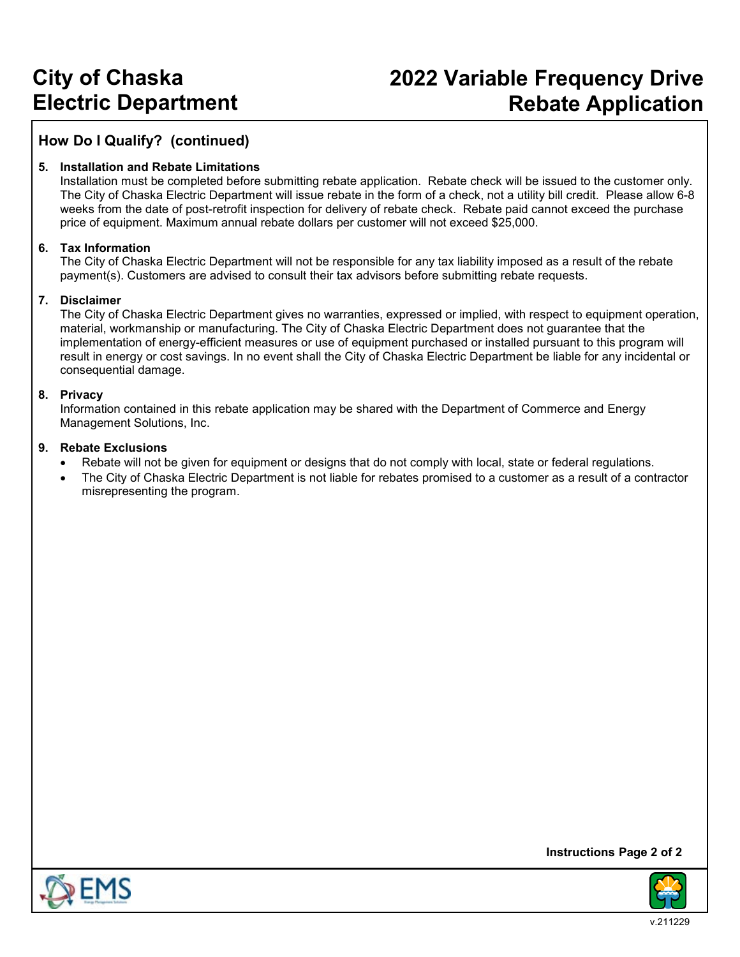### **2022 Variable Frequency Drive Rebate Application**

### **How Do I Qualify? (continued)**

#### **5. Installation and Rebate Limitations**

Installation must be completed before submitting rebate application. Rebate check will be issued to the customer only. The City of Chaska Electric Department will issue rebate in the form of a check, not a utility bill credit. Please allow 6-8 weeks from the date of post-retrofit inspection for delivery of rebate check. Rebate paid cannot exceed the purchase price of equipment. Maximum annual rebate dollars per customer will not exceed \$25,000.

#### **6. Tax Information**

The City of Chaska Electric Department will not be responsible for any tax liability imposed as a result of the rebate payment(s). Customers are advised to consult their tax advisors before submitting rebate requests.

#### **7. Disclaimer**

The City of Chaska Electric Department gives no warranties, expressed or implied, with respect to equipment operation, material, workmanship or manufacturing. The City of Chaska Electric Department does not guarantee that the implementation of energy-efficient measures or use of equipment purchased or installed pursuant to this program will result in energy or cost savings. In no event shall the City of Chaska Electric Department be liable for any incidental or consequential damage.

#### **8. Privacy**

Information contained in this rebate application may be shared with the Department of Commerce and Energy Management Solutions, Inc.

#### **9. Rebate Exclusions**

- Rebate will not be given for equipment or designs that do not comply with local, state or federal regulations.
- The City of Chaska Electric Department is not liable for rebates promised to a customer as a result of a contractor misrepresenting the program.



**Instructions Page 2 of 2** 

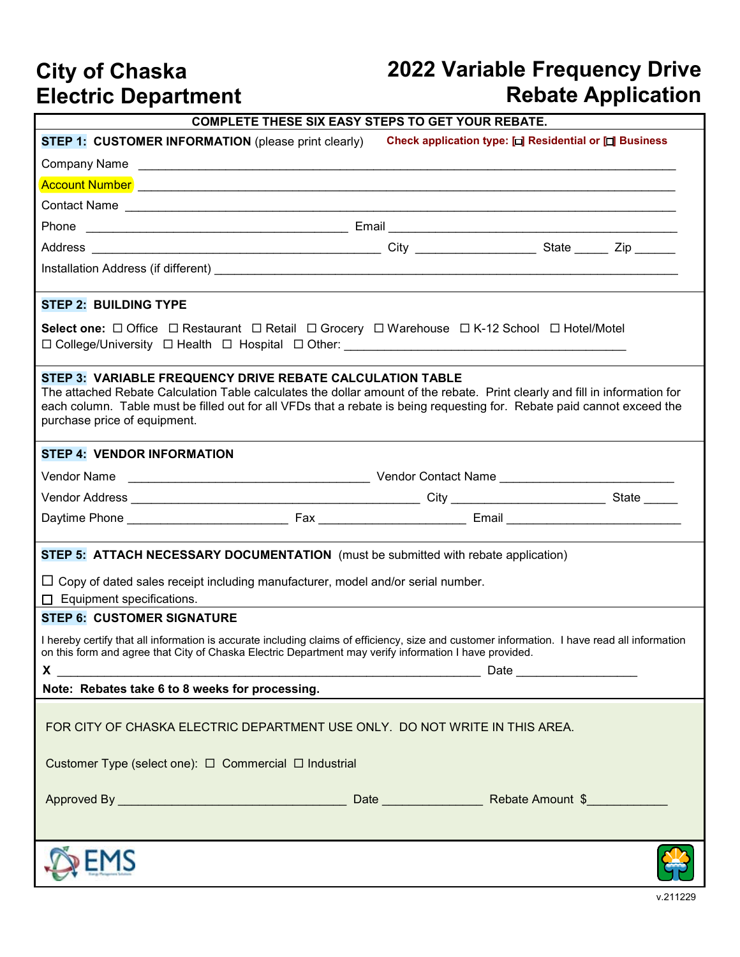# **2022 Variable Frequency Drive Rebate Application**

| <b>COMPLETE THESE SIX EASY STEPS TO GET YOUR REBATE.</b>                                                                                                                                                                                                                                                                                            |  |                                                         |  |  |  |  |  |  |  |
|-----------------------------------------------------------------------------------------------------------------------------------------------------------------------------------------------------------------------------------------------------------------------------------------------------------------------------------------------------|--|---------------------------------------------------------|--|--|--|--|--|--|--|
| <b>STEP 1: CUSTOMER INFORMATION (please print clearly)</b>                                                                                                                                                                                                                                                                                          |  | Check application type: [□] Residential or [□] Business |  |  |  |  |  |  |  |
|                                                                                                                                                                                                                                                                                                                                                     |  |                                                         |  |  |  |  |  |  |  |
|                                                                                                                                                                                                                                                                                                                                                     |  |                                                         |  |  |  |  |  |  |  |
|                                                                                                                                                                                                                                                                                                                                                     |  |                                                         |  |  |  |  |  |  |  |
| Phone                                                                                                                                                                                                                                                                                                                                               |  |                                                         |  |  |  |  |  |  |  |
|                                                                                                                                                                                                                                                                                                                                                     |  |                                                         |  |  |  |  |  |  |  |
|                                                                                                                                                                                                                                                                                                                                                     |  |                                                         |  |  |  |  |  |  |  |
|                                                                                                                                                                                                                                                                                                                                                     |  |                                                         |  |  |  |  |  |  |  |
| <b>STEP 2: BUILDING TYPE</b>                                                                                                                                                                                                                                                                                                                        |  |                                                         |  |  |  |  |  |  |  |
| Select one: □ Office □ Restaurant □ Retail □ Grocery □ Warehouse □ K-12 School □ Hotel/Motel<br>$\square$ College/University $\square$ Health $\square$ Hospital $\square$ Other:                                                                                                                                                                   |  |                                                         |  |  |  |  |  |  |  |
| STEP 3: VARIABLE FREQUENCY DRIVE REBATE CALCULATION TABLE<br>The attached Rebate Calculation Table calculates the dollar amount of the rebate. Print clearly and fill in information for<br>each column. Table must be filled out for all VFDs that a rebate is being requesting for. Rebate paid cannot exceed the<br>purchase price of equipment. |  |                                                         |  |  |  |  |  |  |  |
| <b>STEP 4: VENDOR INFORMATION</b>                                                                                                                                                                                                                                                                                                                   |  |                                                         |  |  |  |  |  |  |  |
|                                                                                                                                                                                                                                                                                                                                                     |  |                                                         |  |  |  |  |  |  |  |
|                                                                                                                                                                                                                                                                                                                                                     |  |                                                         |  |  |  |  |  |  |  |
|                                                                                                                                                                                                                                                                                                                                                     |  |                                                         |  |  |  |  |  |  |  |
|                                                                                                                                                                                                                                                                                                                                                     |  |                                                         |  |  |  |  |  |  |  |
| STEP 5: ATTACH NECESSARY DOCUMENTATION (must be submitted with rebate application)                                                                                                                                                                                                                                                                  |  |                                                         |  |  |  |  |  |  |  |
| $\Box$ Copy of dated sales receipt including manufacturer, model and/or serial number.<br>$\Box$ Equipment specifications.                                                                                                                                                                                                                          |  |                                                         |  |  |  |  |  |  |  |
| <b>STEP 6: CUSTOMER SIGNATURE</b>                                                                                                                                                                                                                                                                                                                   |  |                                                         |  |  |  |  |  |  |  |
| I hereby certify that all information is accurate including claims of efficiency, size and customer information. I have read all information<br>on this form and agree that City of Chaska Electric Department may verify information I have provided.                                                                                              |  |                                                         |  |  |  |  |  |  |  |
| Note: Rebates take 6 to 8 weeks for processing.                                                                                                                                                                                                                                                                                                     |  |                                                         |  |  |  |  |  |  |  |
| FOR CITY OF CHASKA ELECTRIC DEPARTMENT USE ONLY. DO NOT WRITE IN THIS AREA.<br>Customer Type (select one): □ Commercial □ Industrial                                                                                                                                                                                                                |  |                                                         |  |  |  |  |  |  |  |
|                                                                                                                                                                                                                                                                                                                                                     |  |                                                         |  |  |  |  |  |  |  |
|                                                                                                                                                                                                                                                                                                                                                     |  |                                                         |  |  |  |  |  |  |  |